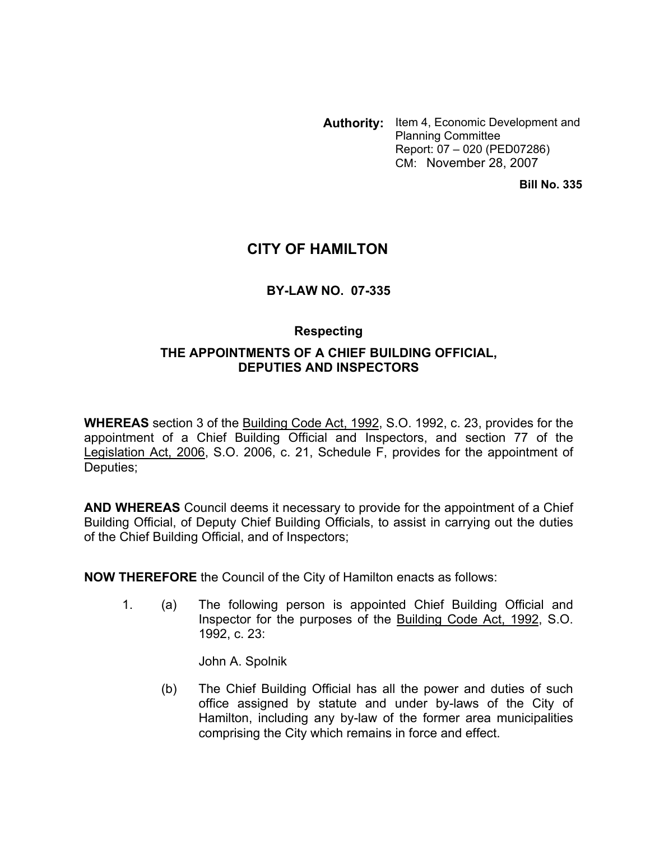**Authority:** Item 4, Economic Development and Planning Committee Report: 07 – 020 (PED07286) CM: November 28, 2007

**Bill No. 335**

## **CITY OF HAMILTON**

### **BY-LAW NO. 07-335**

# **Respecting THE APPOINTMENTS OF A CHIEF BUILDING OFFICIAL, DEPUTIES AND INSPECTORS**

**WHEREAS** section 3 of the Building Code Act, 1992, S.O. 1992, c. 23, provides for the appointment of a Chief Building Official and Inspectors, and section 77 of the Legislation Act, 2006, S.O. 2006, c. 21, Schedule F, provides for the appointment of Deputies;

**AND WHEREAS** Council deems it necessary to provide for the appointment of a Chief Building Official, of Deputy Chief Building Officials, to assist in carrying out the duties of the Chief Building Official, and of Inspectors;

**NOW THEREFORE** the Council of the City of Hamilton enacts as follows:

1. (a) The following person is appointed Chief Building Official and Inspector for the purposes of the Building Code Act, 1992, S.O. 1992, c. 23:

John A. Spolnik

(b) The Chief Building Official has all the power and duties of such office assigned by statute and under by-laws of the City of Hamilton, including any by-law of the former area municipalities comprising the City which remains in force and effect.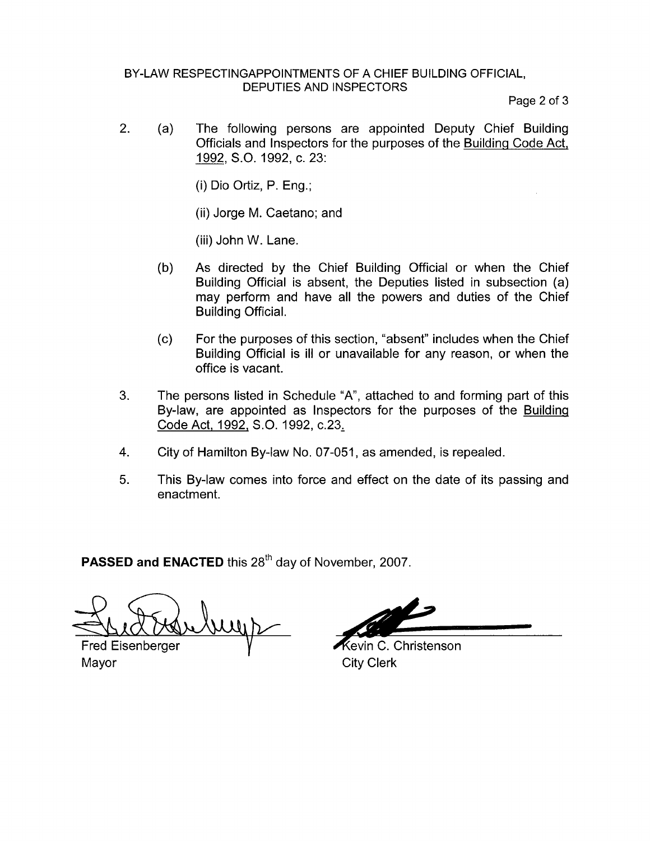#### BY-LAW RESPECTINGAPPOINTMENTS OF A CHIEF BUILDING OFFICIAL, DEPUTIES AND INSPECTORS

Page 2 of 3

2. (a) The following persons are appointed Deputy Chief Building Officials and Inspectors for the purposes of the Building Code Act, 1992, S.O. 1992, c. 23:

(i) Dio Ortiz, P. Eng.;

(ii) Jorge M. Caetano; and

(iii) John W. Lane.

- (b) As directed by the Chief Building Official or when the Chief Building Official is absent, the Deputies listed in subsection (a) may perform and have all the powers and duties of the Chief Building Official.
- (c) For the purposes of this section, "absent" includes when the Chief Building Official is ill or unavailable for any reason, or when the office is vacant.
- 3. The persons listed in Schedule "A", attached to and forming part of this By-law, are appointed as Inspectors for the purposes of the Buildinq Code Act, 1992, S.O. 1992, c.23,
- **4.** City of Hamilton By-law No. 07-051, as amended, is repealed.
- **5.** This By-law comes into force and effect on the date of its passing and enactment.

**PASSED and ENACTED** this 28<sup>th</sup> day of November, 2007.

un) **Fred Eisenberger** 

Mayor **Mayor** City Clerk

Kevin C. Christenson